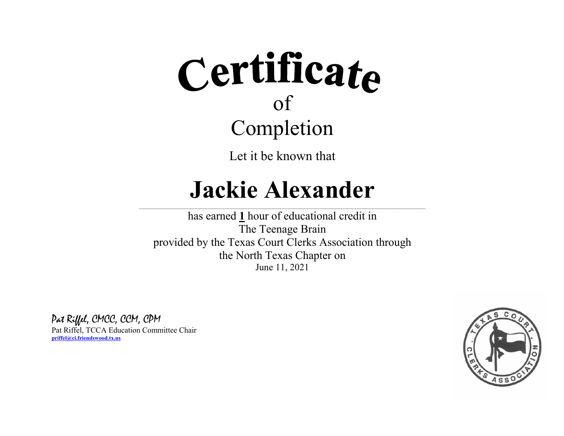Let it be known that

### **Jackie Alexander**

 $\_$  , and the state of the state of the state of the state of the state of the state of the state of the state of the state of the state of the state of the state of the state of the state of the state of the state of the

has earned **1** hour of educational credit in The Teenage Brain provided by the Texas Court Clerks Association through the North Texas Chapter on June 11, 2021

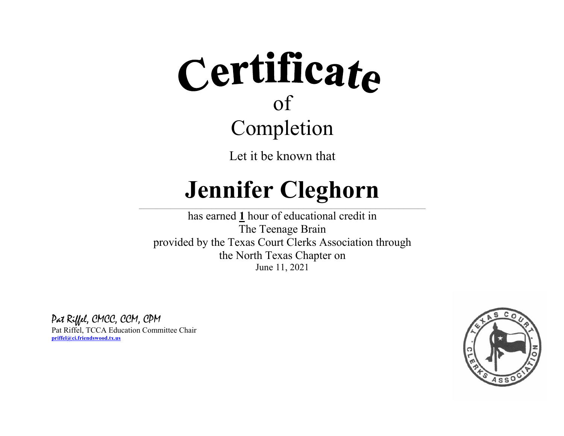Let it be known that

### **Jennifer Cleghorn**  $\_$  , and the state of the state of the state of the state of the state of the state of the state of the state of the state of the state of the state of the state of the state of the state of the state of the state of the

has earned **1** hour of educational credit in The Teenage Brain provided by the Texas Court Clerks Association through the North Texas Chapter on June 11, 2021

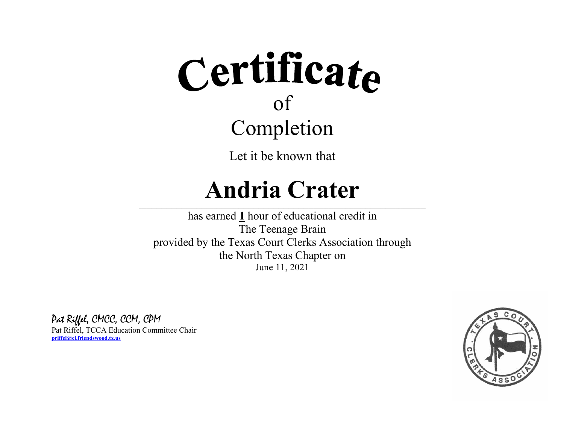Let it be known that

### **Andria Crater**

 $\_$  , and the state of the state of the state of the state of the state of the state of the state of the state of the state of the state of the state of the state of the state of the state of the state of the state of the

has earned **1** hour of educational credit in The Teenage Brain provided by the Texas Court Clerks Association through the North Texas Chapter on June 11, 2021

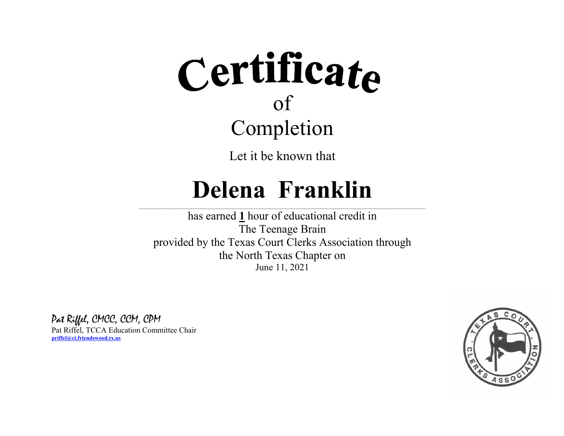Let it be known that

### **Delena Franklin**

 $\_$  , and the state of the state of the state of the state of the state of the state of the state of the state of the state of the state of the state of the state of the state of the state of the state of the state of the

has earned **1** hour of educational credit in The Teenage Brain provided by the Texas Court Clerks Association through the North Texas Chapter on June 11, 2021

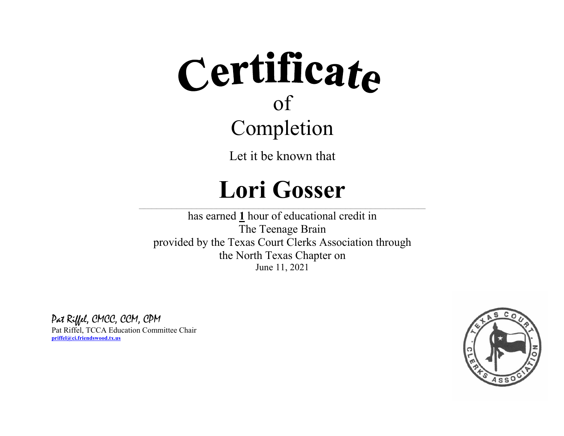Let it be known that

### **Lori Gosser**

 $\_$  , and the state of the state of the state of the state of the state of the state of the state of the state of the state of the state of the state of the state of the state of the state of the state of the state of the

has earned **1** hour of educational credit in The Teenage Brain provided by the Texas Court Clerks Association through the North Texas Chapter on June 11, 2021

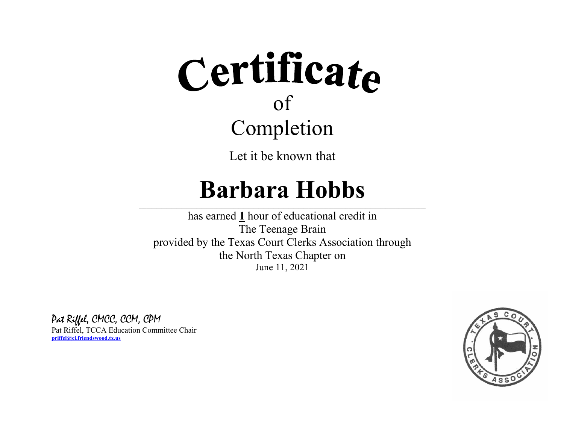Let it be known that

### **Barbara Hobbs**

 $\_$  , and the state of the state of the state of the state of the state of the state of the state of the state of the state of the state of the state of the state of the state of the state of the state of the state of the

has earned **1** hour of educational credit in The Teenage Brain provided by the Texas Court Clerks Association through the North Texas Chapter on June 11, 2021

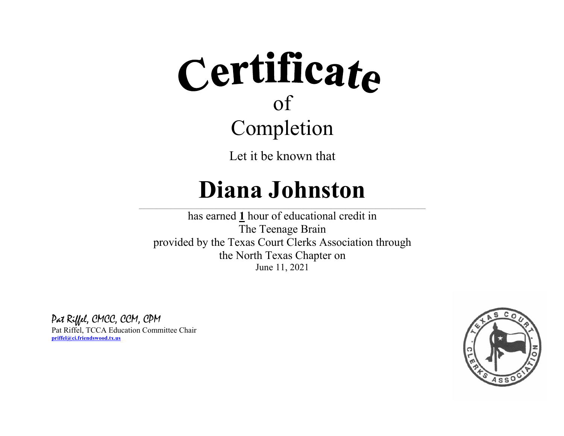Let it be known that

### **Diana Johnston**

 $\_$  , and the state of the state of the state of the state of the state of the state of the state of the state of the state of the state of the state of the state of the state of the state of the state of the state of the

has earned **1** hour of educational credit in The Teenage Brain provided by the Texas Court Clerks Association through the North Texas Chapter on June 11, 2021

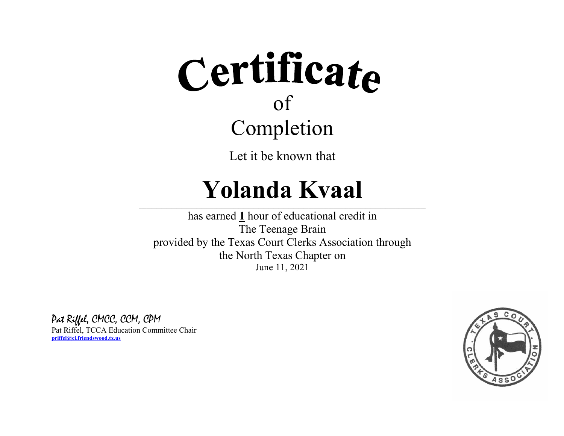Let it be known that

### **Yolanda Kvaal**

 $\_$  , and the state of the state of the state of the state of the state of the state of the state of the state of the state of the state of the state of the state of the state of the state of the state of the state of the

has earned **1** hour of educational credit in The Teenage Brain provided by the Texas Court Clerks Association through the North Texas Chapter on June 11, 2021

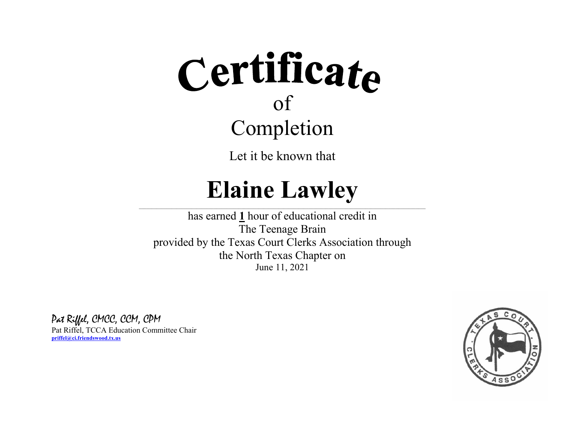Let it be known that

### **Elaine Lawley**

 $\_$  , and the state of the state of the state of the state of the state of the state of the state of the state of the state of the state of the state of the state of the state of the state of the state of the state of the

has earned **1** hour of educational credit in The Teenage Brain provided by the Texas Court Clerks Association through the North Texas Chapter on June 11, 2021

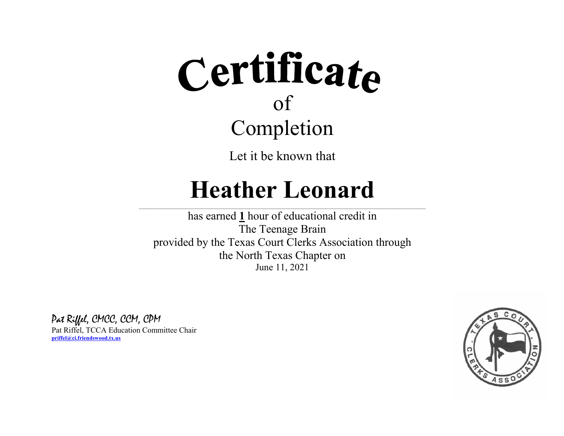

Let it be known that

### **Heather Leonard**

 $\_$  , and the state of the state of the state of the state of the state of the state of the state of the state of the state of the state of the state of the state of the state of the state of the state of the state of the

has earned **1** hour of educational credit in The Teenage Brain provided by the Texas Court Clerks Association through the North Texas Chapter on June 11, 2021

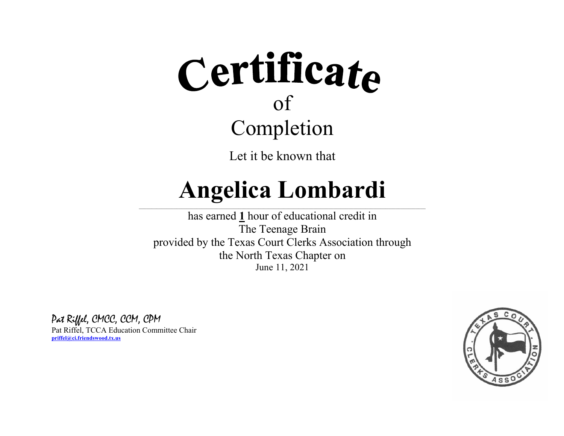

Let it be known that

#### **Angelica Lombardi**  $\_$  , and the state of the state of the state of the state of the state of the state of the state of the state of the state of the state of the state of the state of the state of the state of the state of the state of the

has earned **1** hour of educational credit in The Teenage Brain provided by the Texas Court Clerks Association through the North Texas Chapter on June 11, 2021

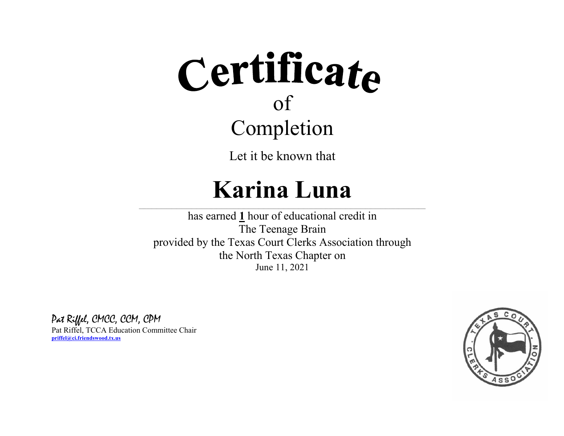Let it be known that

### **Karina Luna**

 $\_$  , and the state of the state of the state of the state of the state of the state of the state of the state of the state of the state of the state of the state of the state of the state of the state of the state of the

has earned **1** hour of educational credit in The Teenage Brain provided by the Texas Court Clerks Association through the North Texas Chapter on June 11, 2021

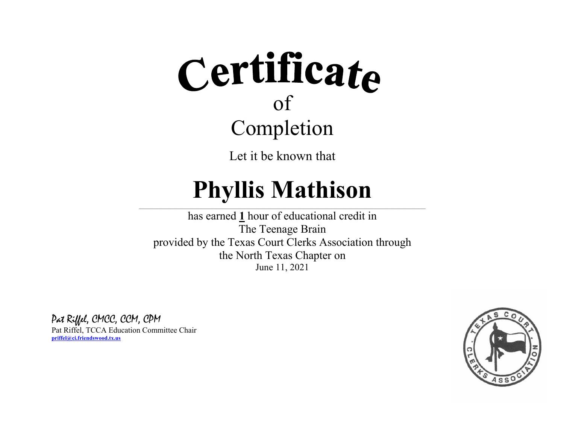Let it be known that

## **Phyllis Mathison**

 $\_$  , and the state of the state of the state of the state of the state of the state of the state of the state of the state of the state of the state of the state of the state of the state of the state of the state of the

has earned **1** hour of educational credit in The Teenage Brain provided by the Texas Court Clerks Association through the North Texas Chapter on June 11, 2021

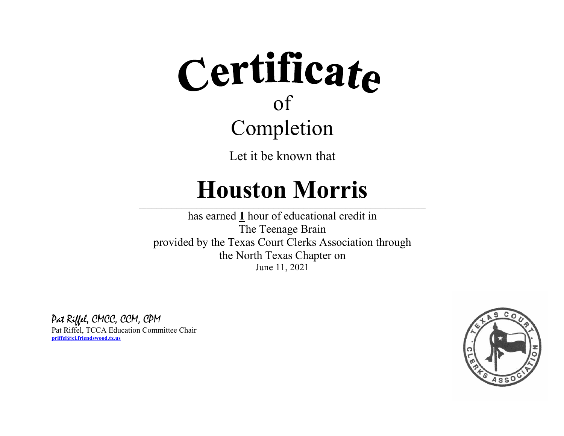Let it be known that

### **Houston Morris**

 $\_$  , and the state of the state of the state of the state of the state of the state of the state of the state of the state of the state of the state of the state of the state of the state of the state of the state of the

has earned **1** hour of educational credit in The Teenage Brain provided by the Texas Court Clerks Association through the North Texas Chapter on June 11, 2021

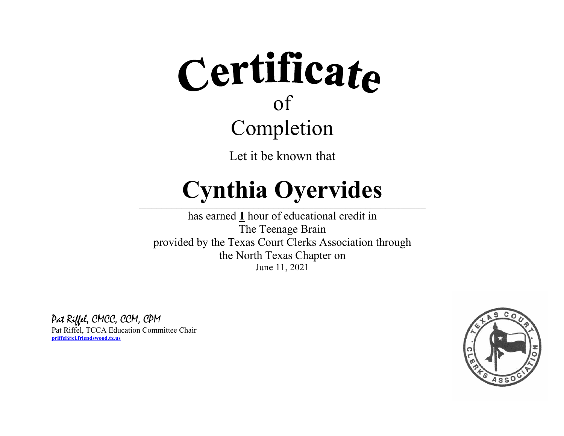Let it be known that

### **Cynthia Oyervides**  $\_$  , and the state of the state of the state of the state of the state of the state of the state of the state of the state of the state of the state of the state of the state of the state of the state of the state of the

has earned **1** hour of educational credit in The Teenage Brain provided by the Texas Court Clerks Association through the North Texas Chapter on June 11, 2021

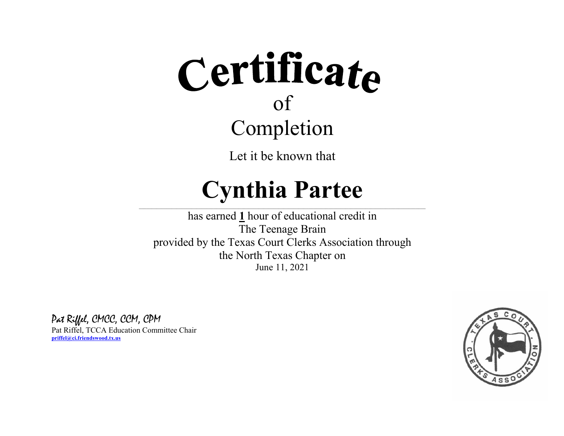Let it be known that

### **Cynthia Partee**

 $\_$  , and the state of the state of the state of the state of the state of the state of the state of the state of the state of the state of the state of the state of the state of the state of the state of the state of the

has earned **1** hour of educational credit in The Teenage Brain provided by the Texas Court Clerks Association through the North Texas Chapter on June 11, 2021

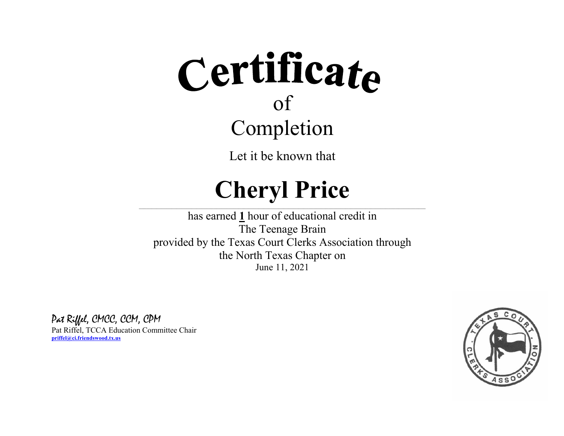Let it be known that

## **Cheryl Price**

 $\_$  , and the state of the state of the state of the state of the state of the state of the state of the state of the state of the state of the state of the state of the state of the state of the state of the state of the

has earned **1** hour of educational credit in The Teenage Brain provided by the Texas Court Clerks Association through the North Texas Chapter on June 11, 2021

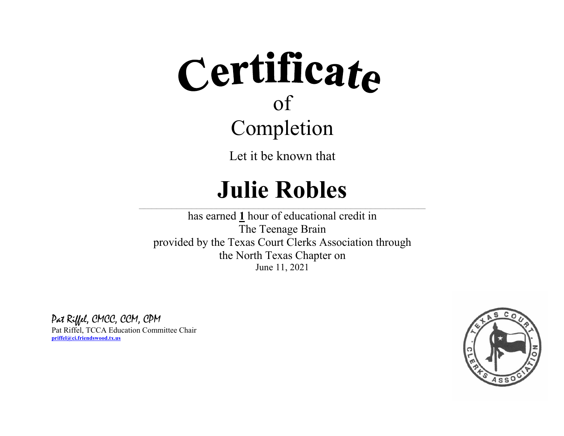Let it be known that

### **Julie Robles**

 $\_$  , and the state of the state of the state of the state of the state of the state of the state of the state of the state of the state of the state of the state of the state of the state of the state of the state of the

has earned **1** hour of educational credit in The Teenage Brain provided by the Texas Court Clerks Association through the North Texas Chapter on June 11, 2021

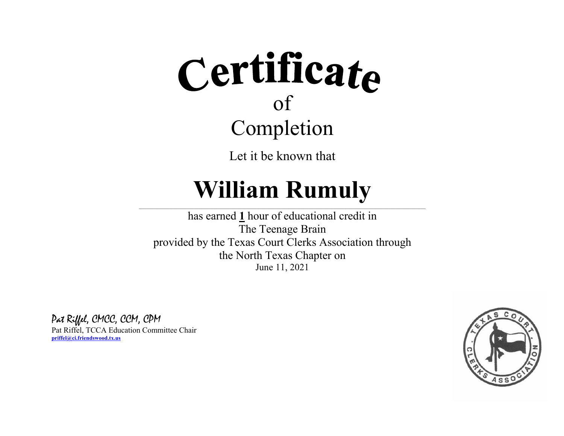Let it be known that

### **William Rumuly**  $\_$  , and the state of the state of the state of the state of the state of the state of the state of the state of the state of the state of the state of the state of the state of the state of the state of the state of the

has earned **1** hour of educational credit in The Teenage Brain provided by the Texas Court Clerks Association through the North Texas Chapter on June 11, 2021

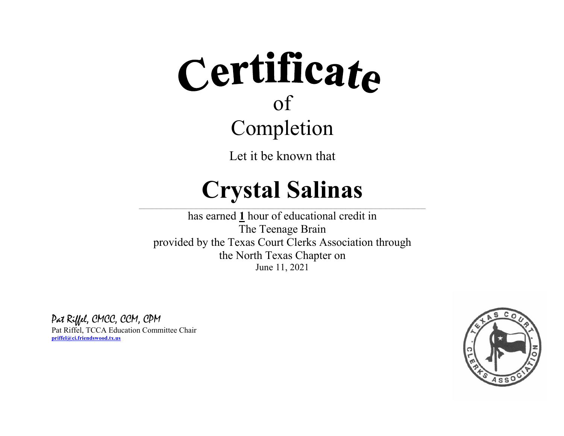Let it be known that

### **Crystal Salinas**

 $\_$  , and the state of the state of the state of the state of the state of the state of the state of the state of the state of the state of the state of the state of the state of the state of the state of the state of the

has earned **1** hour of educational credit in The Teenage Brain provided by the Texas Court Clerks Association through the North Texas Chapter on June 11, 2021

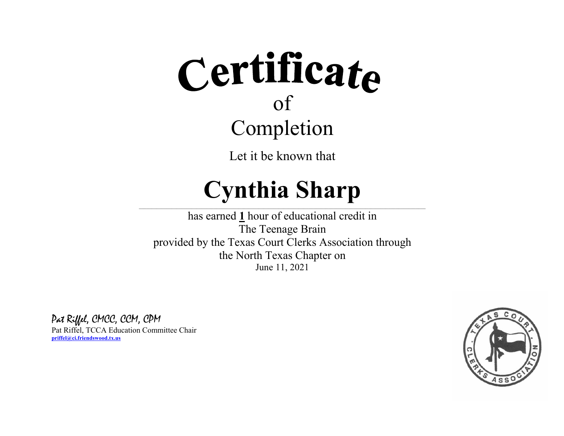Let it be known that

## **Cynthia Sharp**

 $\_$  , and the state of the state of the state of the state of the state of the state of the state of the state of the state of the state of the state of the state of the state of the state of the state of the state of the

has earned **1** hour of educational credit in The Teenage Brain provided by the Texas Court Clerks Association through the North Texas Chapter on June 11, 2021

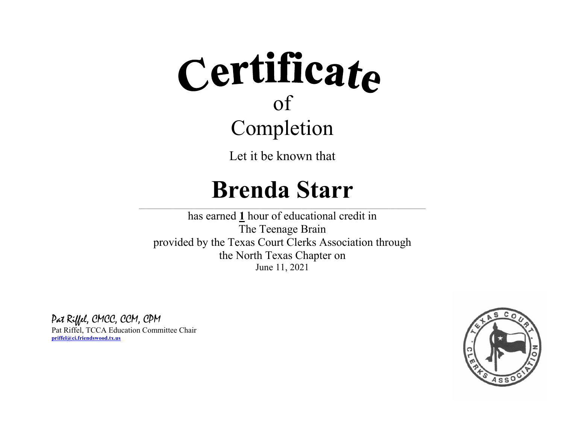Let it be known that

### **Brenda Starr**

 $\_$  , and the state of the state of the state of the state of the state of the state of the state of the state of the state of the state of the state of the state of the state of the state of the state of the state of the

has earned **1** hour of educational credit in The Teenage Brain provided by the Texas Court Clerks Association through the North Texas Chapter on June 11, 2021

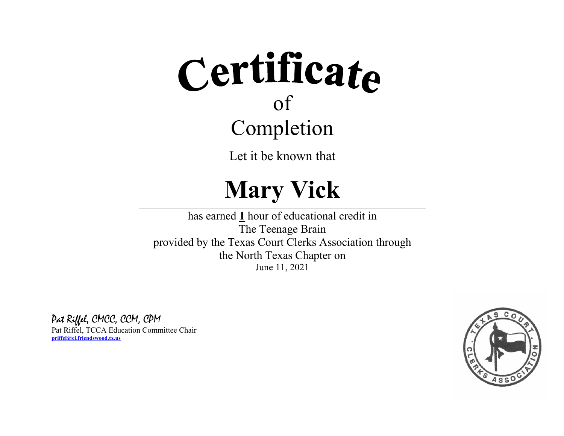Let it be known that

## **Mary Vick**

 $\_$  , and the state of the state of the state of the state of the state of the state of the state of the state of the state of the state of the state of the state of the state of the state of the state of the state of the

has earned **1** hour of educational credit in The Teenage Brain provided by the Texas Court Clerks Association through the North Texas Chapter on June 11, 2021

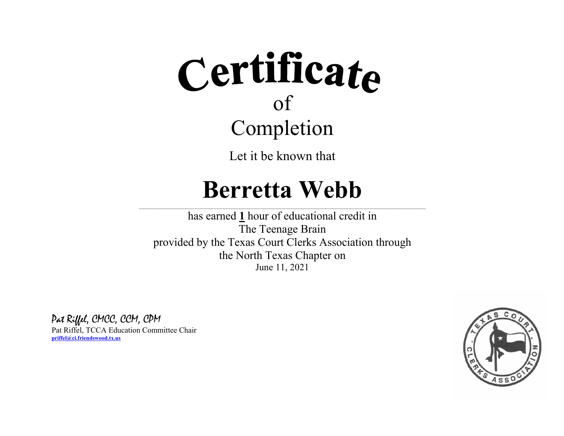Let it be known that

### **Berretta Webb**

 $\_$  , and the state of the state of the state of the state of the state of the state of the state of the state of the state of the state of the state of the state of the state of the state of the state of the state of the

has earned **1** hour of educational credit in The Teenage Brain provided by the Texas Court Clerks Association through the North Texas Chapter on June 11, 2021